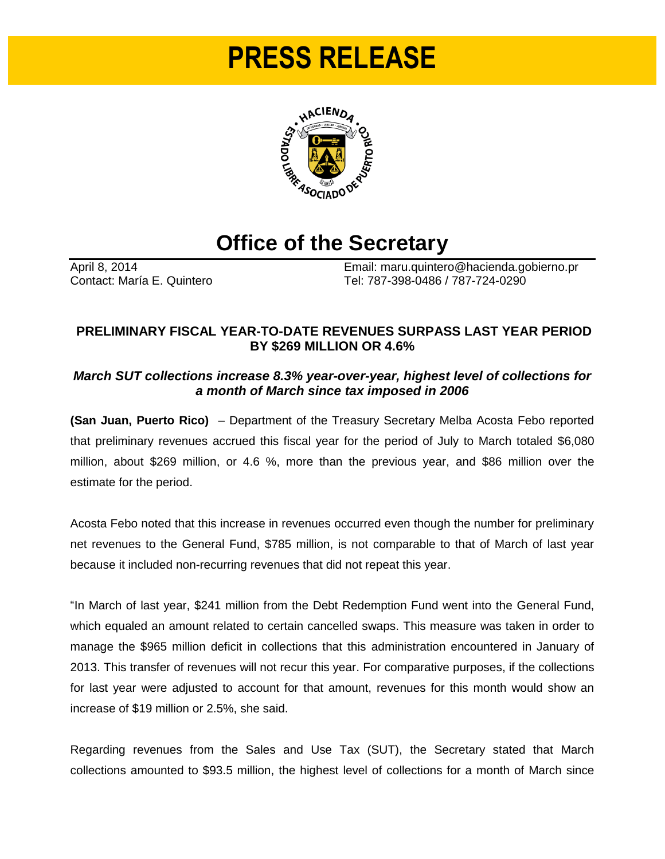# **PRESS RELEASE**



# **Office of the Secretary**

April 8, 2014<br>
Contact: María E. Quintero<br>
Contact: María E. Quintero<br>
Contact: María E. Quintero Tel: 787-398-0486 / 787-724-0290

## **PRELIMINARY FISCAL YEAR-TO-DATE REVENUES SURPASS LAST YEAR PERIOD BY \$269 MILLION OR 4.6%**

### *March SUT collections increase 8.3% year-over-year, highest level of collections for a month of March since tax imposed in 2006*

**(San Juan, Puerto Rico)** – Department of the Treasury Secretary Melba Acosta Febo reported that preliminary revenues accrued this fiscal year for the period of July to March totaled \$6,080 million, about \$269 million, or 4.6 %, more than the previous year, and \$86 million over the estimate for the period.

Acosta Febo noted that this increase in revenues occurred even though the number for preliminary net revenues to the General Fund, \$785 million, is not comparable to that of March of last year because it included non-recurring revenues that did not repeat this year.

"In March of last year, \$241 million from the Debt Redemption Fund went into the General Fund, which equaled an amount related to certain cancelled swaps. This measure was taken in order to manage the \$965 million deficit in collections that this administration encountered in January of 2013. This transfer of revenues will not recur this year. For comparative purposes, if the collections for last year were adjusted to account for that amount, revenues for this month would show an increase of \$19 million or 2.5%, she said.

Regarding revenues from the Sales and Use Tax (SUT), the Secretary stated that March collections amounted to \$93.5 million, the highest level of collections for a month of March since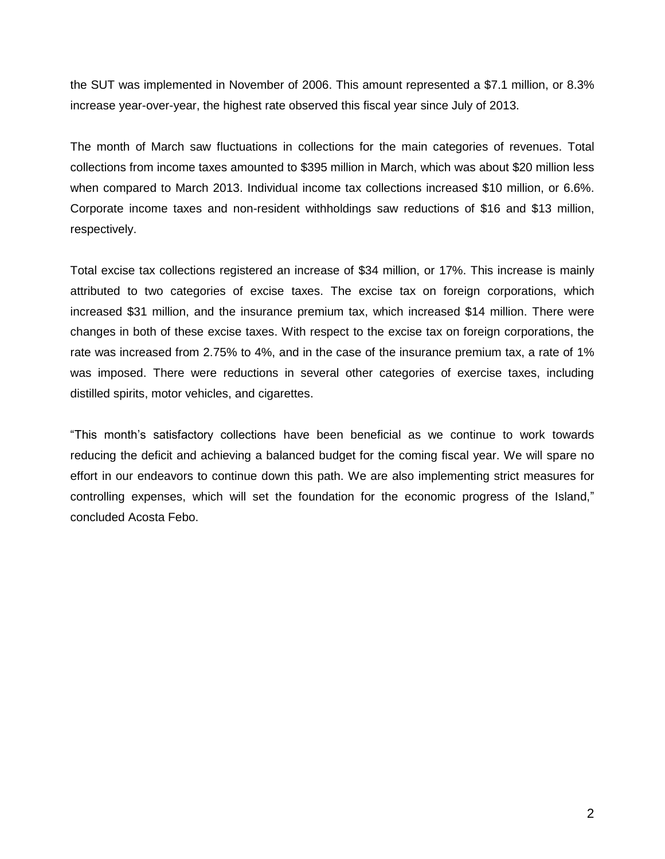the SUT was implemented in November of 2006. This amount represented a \$7.1 million, or 8.3% increase year-over-year, the highest rate observed this fiscal year since July of 2013.

The month of March saw fluctuations in collections for the main categories of revenues. Total collections from income taxes amounted to \$395 million in March, which was about \$20 million less when compared to March 2013. Individual income tax collections increased \$10 million, or 6.6%. Corporate income taxes and non-resident withholdings saw reductions of \$16 and \$13 million, respectively.

Total excise tax collections registered an increase of \$34 million, or 17%. This increase is mainly attributed to two categories of excise taxes. The excise tax on foreign corporations, which increased \$31 million, and the insurance premium tax, which increased \$14 million. There were changes in both of these excise taxes. With respect to the excise tax on foreign corporations, the rate was increased from 2.75% to 4%, and in the case of the insurance premium tax, a rate of 1% was imposed. There were reductions in several other categories of exercise taxes, including distilled spirits, motor vehicles, and cigarettes.

"This month's satisfactory collections have been beneficial as we continue to work towards reducing the deficit and achieving a balanced budget for the coming fiscal year. We will spare no effort in our endeavors to continue down this path. We are also implementing strict measures for controlling expenses, which will set the foundation for the economic progress of the Island," concluded Acosta Febo.